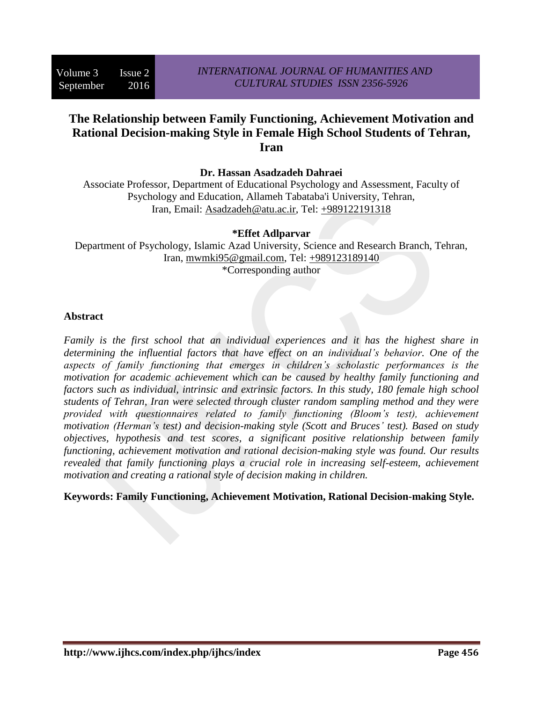# **The Relationship between Family Functioning, Achievement Motivation and Rational Decision-making Style in Female High School Students of Tehran, Iran**

**Dr. Hassan Asadzadeh Dahraei**

Associate Professor, Department of Educational Psychology and Assessment, Faculty of Psychology and Education, Allameh Tabataba'i University, Tehran, Iran, Email: [Asadzadeh@atu.ac.ir,](mailto:Asadzadeh@atu.ac.ir) Tel: [+989122191318](tel:%2B989122191318)

### **\*Effet Adlparvar**

Department of Psychology, Islamic Azad University, Science and Research Branch, Tehran, Iran, [mwmki95@gmail.com,](mailto:mwmki95@gmail.com) Tel: [+989123189140](tel:%2B989123189140) \*Corresponding author

#### **Abstract**

*Family is the first school that an individual experiences and it has the highest share in determining the influential factors that have effect on an individual's behavior. One of the aspects of family functioning that emerges in children's scholastic performances is the motivation for academic achievement which can be caused by healthy family functioning and factors such as individual, intrinsic and extrinsic factors. In this study, 180 female high school students of Tehran, Iran were selected through cluster random sampling method and they were provided with questionnaires related to family functioning (Bloom's test), achievement motivation (Herman's test) and decision-making style (Scott and Bruces' test). Based on study objectives, hypothesis and test scores, a significant positive relationship between family functioning, achievement motivation and rational decision-making style was found. Our results revealed that family functioning plays a crucial role in increasing self-esteem, achievement motivation and creating a rational style of decision making in children.*

**Keywords: Family Functioning, Achievement Motivation, Rational Decision-making Style.**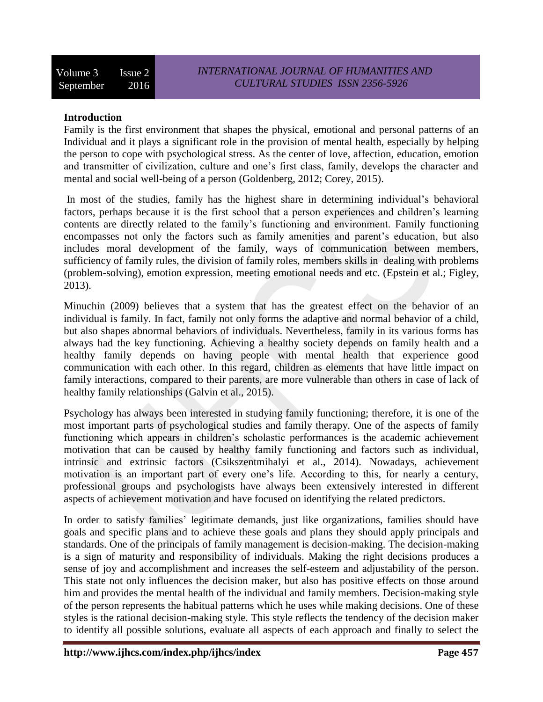## **Introduction**

Family is the first environment that shapes the physical, emotional and personal patterns of an Individual and it plays a significant role in the provision of mental health, especially by helping the person to cope with psychological stress. As the center of love, affection, education, emotion and transmitter of civilization, culture and one's first class, family, develops the character and mental and social well-being of a person (Goldenberg, 2012; Corey, 2015).

In most of the studies, family has the highest share in determining individual's behavioral factors, perhaps because it is the first school that a person experiences and children's learning contents are directly related to the family's functioning and environment. Family functioning encompasses not only the factors such as family amenities and parent's education, but also includes moral development of the family, ways of communication between members, sufficiency of family rules, the division of family roles, members skills in dealing with problems (problem-solving), emotion expression, meeting emotional needs and etc. (Epstein et al.; Figley, 2013).

Minuchin (2009) believes that a system that has the greatest effect on the behavior of an individual is family. In fact, family not only forms the adaptive and normal behavior of a child, but also shapes abnormal behaviors of individuals. Nevertheless, family in its various forms has always had the key functioning. Achieving a healthy society depends on family health and a healthy family depends on having people with mental health that experience good communication with each other. In this regard, children as elements that have little impact on family interactions, compared to their parents, are more vulnerable than others in case of lack of healthy family relationships (Galvin et al., 2015).

Psychology has always been interested in studying family functioning; therefore, it is one of the most important parts of psychological studies and family therapy. One of the aspects of family functioning which appears in children's scholastic performances is the academic achievement motivation that can be caused by healthy family functioning and factors such as individual, intrinsic and extrinsic factors (Csikszentmihalyi et al., 2014). Nowadays, achievement motivation is an important part of every one's life. According to this, for nearly a century, professional groups and psychologists have always been extensively interested in different aspects of achievement motivation and have focused on identifying the related predictors.

In order to satisfy families' legitimate demands, just like organizations, families should have goals and specific plans and to achieve these goals and plans they should apply principals and standards. One of the principals of family management is decision-making. The decision-making is a sign of maturity and responsibility of individuals. Making the right decisions produces a sense of joy and accomplishment and increases the self-esteem and adjustability of the person. This state not only influences the decision maker, but also has positive effects on those around him and provides the mental health of the individual and family members. Decision-making style of the person represents the habitual patterns which he uses while making decisions. One of these styles is the rational decision-making style. This style reflects the tendency of the decision maker to identify all possible solutions, evaluate all aspects of each approach and finally to select the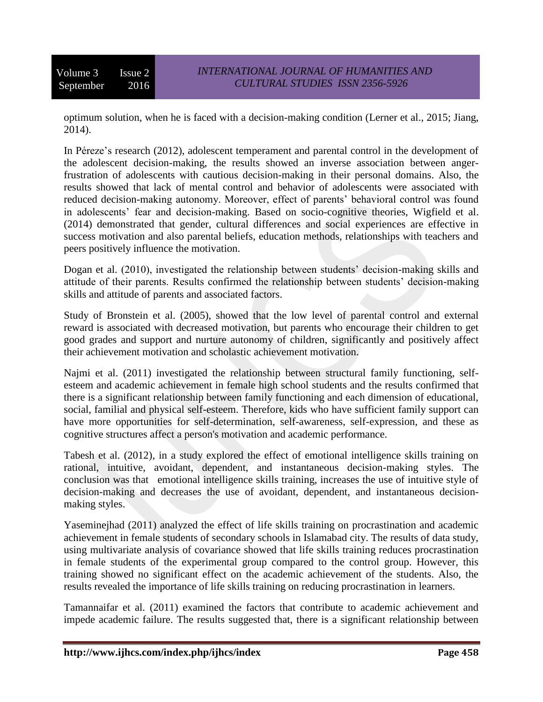optimum solution, when he is faced with a decision-making condition (Lerner et al., 2015; Jiang, 2014).

In Péreze's research (2012), adolescent temperament and parental control in the development of the adolescent decision-making, the results showed an inverse association between angerfrustration of adolescents with cautious decision-making in their personal domains. Also, the results showed that lack of mental control and behavior of adolescents were associated with reduced decision-making autonomy. Moreover, effect of parents' behavioral control was found in adolescents' fear and decision-making. Based on socio-cognitive theories, Wigfield et al. (2014) demonstrated that gender, cultural differences and social experiences are effective in success motivation and also parental beliefs, education methods, relationships with teachers and peers positively influence the motivation.

Dogan et al. (2010), investigated the relationship between students' decision-making skills and attitude of their parents. Results confirmed the relationship between students' decision-making skills and attitude of parents and associated factors.

Study of Bronstein et al. (2005), showed that the low level of parental control and external reward is associated with decreased motivation, but parents who encourage their children to get good grades and support and nurture autonomy of children, significantly and positively affect their achievement motivation and scholastic achievement motivation.

Najmi et al. (2011) investigated the relationship between structural family functioning, selfesteem and academic achievement in female high school students and the results confirmed that there is a significant relationship between family functioning and each dimension of educational, social, familial and physical self-esteem. Therefore, kids who have sufficient family support can have more opportunities for self-determination, self-awareness, self-expression, and these as cognitive structures affect a person's motivation and academic performance.

Tabesh et al. (2012), in a study explored the effect of emotional intelligence skills training on rational, intuitive, avoidant, dependent, and instantaneous decision-making styles. The conclusion was that emotional intelligence skills training, increases the use of intuitive style of decision-making and decreases the use of avoidant, dependent, and instantaneous decisionmaking styles.

Yaseminejhad (2011) analyzed the effect of life skills training on procrastination and academic achievement in female students of secondary schools in Islamabad city. The results of data study, using multivariate analysis of covariance showed that life skills training reduces procrastination in female students of the experimental group compared to the control group. However, this training showed no significant effect on the academic achievement of the students. Also, the results revealed the importance of life skills training on reducing procrastination in learners.

Tamannaifar et al. (2011) examined the factors that contribute to academic achievement and impede academic failure. The results suggested that, there is a significant relationship between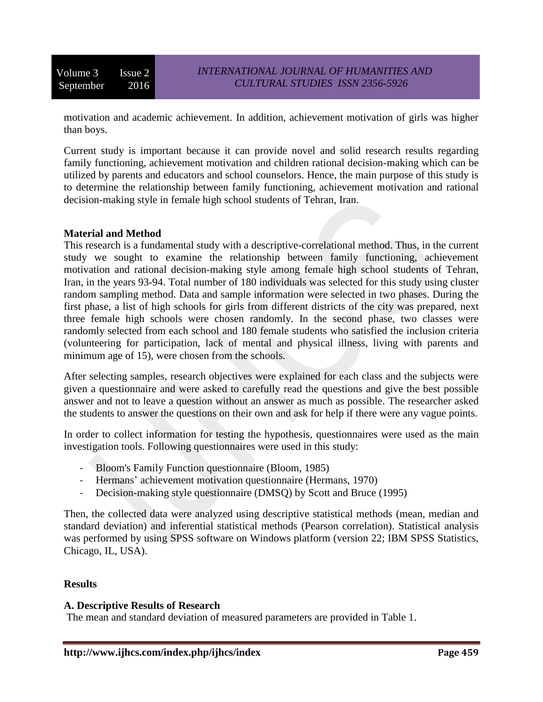motivation and academic achievement. In addition, achievement motivation of girls was higher than boys.

Current study is important because it can provide novel and solid research results regarding family functioning, achievement motivation and children rational decision-making which can be utilized by parents and educators and school counselors. Hence, the main purpose of this study is to determine the relationship between family functioning, achievement motivation and rational decision-making style in female high school students of Tehran, Iran.

#### **Material and Method**

This research is a fundamental study with a descriptive-correlational method. Thus, in the current study we sought to examine the relationship between family functioning, achievement motivation and rational decision-making style among female high school students of Tehran, Iran, in the years 93-94. Total number of 180 individuals was selected for this study using cluster random sampling method. Data and sample information were selected in two phases. During the first phase, a list of high schools for girls from different districts of the city was prepared, next three female high schools were chosen randomly. In the second phase, two classes were randomly selected from each school and 180 female students who satisfied the inclusion criteria (volunteering for participation, lack of mental and physical illness, living with parents and minimum age of 15), were chosen from the schools.

After selecting samples, research objectives were explained for each class and the subjects were given a questionnaire and were asked to carefully read the questions and give the best possible answer and not to leave a question without an answer as much as possible. The researcher asked the students to answer the questions on their own and ask for help if there were any vague points.

In order to collect information for testing the hypothesis, questionnaires were used as the main investigation tools. Following questionnaires were used in this study:

- Bloom's Family Function questionnaire (Bloom, 1985)
- Hermans' achievement motivation questionnaire (Hermans, 1970)
- Decision-making style questionnaire (DMSQ) by Scott and Bruce (1995)

Then, the collected data were analyzed using descriptive statistical methods (mean, median and standard deviation) and inferential statistical methods (Pearson correlation). Statistical analysis was performed by using SPSS software on Windows platform (version 22; IBM SPSS Statistics, Chicago, IL, USA).

#### **Results**

### **A. Descriptive Results of Research**

The mean and standard deviation of measured parameters are provided in Table 1.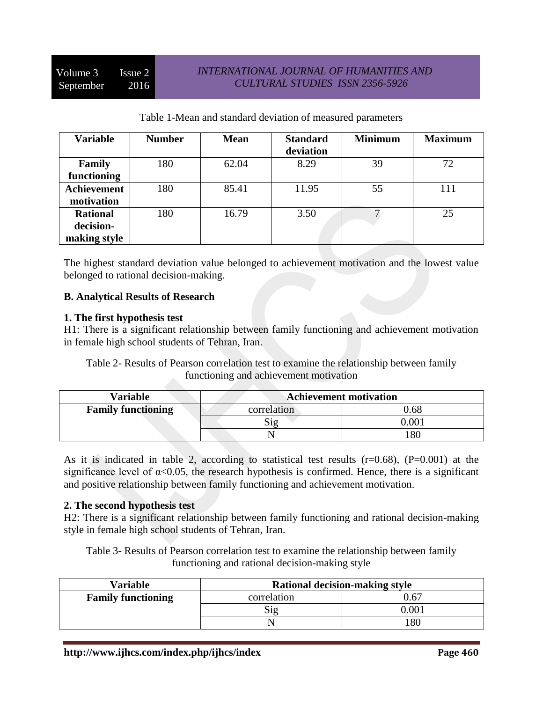| Table 1 Tricall and standard deviation of incastrica parameters |               |             |                              |                |                |  |
|-----------------------------------------------------------------|---------------|-------------|------------------------------|----------------|----------------|--|
| <b>Variable</b>                                                 | <b>Number</b> | <b>Mean</b> | <b>Standard</b><br>deviation | <b>Minimum</b> | <b>Maximum</b> |  |
|                                                                 |               |             |                              |                |                |  |
| Family                                                          | 180           | 62.04       | 8.29                         | 39             | 72             |  |
| functioning                                                     |               |             |                              |                |                |  |
| <b>Achievement</b>                                              | 180           | 85.41       | 11.95                        | 55             | 111            |  |
| motivation                                                      |               |             |                              |                |                |  |
| <b>Rational</b>                                                 | 180           | 16.79       | 3.50                         |                | 25             |  |
| decision-                                                       |               |             |                              |                |                |  |
| making style                                                    |               |             |                              |                |                |  |

Table 1-Mean and standard deviation of measured parameters

The highest standard deviation value belonged to achievement motivation and the lowest value belonged to rational decision-making.

# **B. Analytical Results of Research**

### **1. The first hypothesis test**

H1: There is a significant relationship between family functioning and achievement motivation in female high school students of Tehran, Iran.

Table 2- Results of Pearson correlation test to examine the relationship between family functioning and achievement motivation

| Variable                  | <b>Achievement motivation</b> |       |  |
|---------------------------|-------------------------------|-------|--|
| <b>Family functioning</b> | correlation                   | 0.68  |  |
|                           | ر $19$                        | 0.001 |  |
|                           |                               | 80    |  |

As it is indicated in table 2, according to statistical test results  $(r=0.68)$ ,  $(P=0.001)$  at the significance level of  $\alpha$ <0.05, the research hypothesis is confirmed. Hence, there is a significant and positive relationship between family functioning and achievement motivation.

### **2. The second hypothesis test**

H2: There is a significant relationship between family functioning and rational decision-making style in female high school students of Tehran, Iran.

Table 3- Results of Pearson correlation test to examine the relationship between family functioning and rational decision-making style

| <b>Variable</b>           | Rational decision-making style |       |  |
|---------------------------|--------------------------------|-------|--|
| <b>Family functioning</b> | correlation                    | 0.67  |  |
|                           | Sig                            | 0.001 |  |
|                           |                                | 180   |  |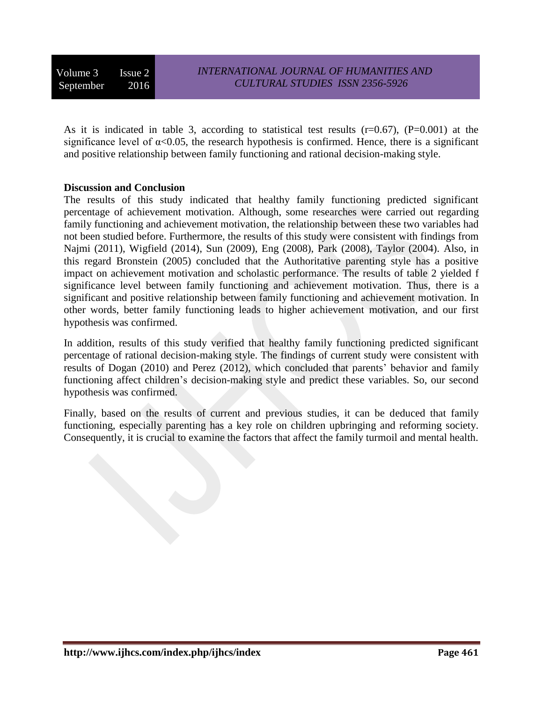As it is indicated in table 3, according to statistical test results (r=0.67), (P=0.001) at the significance level of  $\alpha$ <0.05, the research hypothesis is confirmed. Hence, there is a significant and positive relationship between family functioning and rational decision-making style.

#### **Discussion and Conclusion**

The results of this study indicated that healthy family functioning predicted significant percentage of achievement motivation. Although, some researches were carried out regarding family functioning and achievement motivation, the relationship between these two variables had not been studied before. Furthermore, the results of this study were consistent with findings from Najmi (2011), Wigfield (2014), Sun (2009), Eng (2008), Park (2008), Taylor (2004). Also, in this regard Bronstein (2005) concluded that the Authoritative parenting style has a positive impact on achievement motivation and scholastic performance. The results of table 2 yielded f significance level between family functioning and achievement motivation. Thus, there is a significant and positive relationship between family functioning and achievement motivation. In other words, better family functioning leads to higher achievement motivation, and our first hypothesis was confirmed.

In addition, results of this study verified that healthy family functioning predicted significant percentage of rational decision-making style. The findings of current study were consistent with results of Dogan (2010) and Perez (2012), which concluded that parents' behavior and family functioning affect children's decision-making style and predict these variables. So, our second hypothesis was confirmed.

Finally, based on the results of current and previous studies, it can be deduced that family functioning, especially parenting has a key role on children upbringing and reforming society. Consequently, it is crucial to examine the factors that affect the family turmoil and mental health.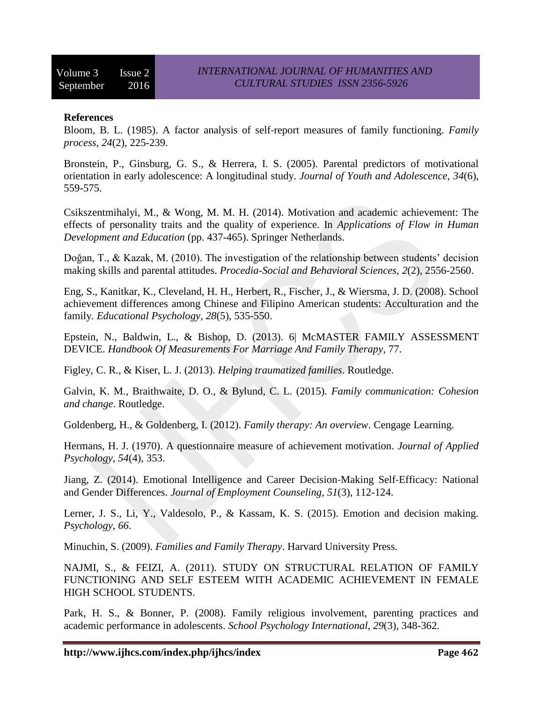# **References**

Bloom, B. L. (1985). A factor analysis of self‐report measures of family functioning. *Family process*, *24*(2), 225-239.

Bronstein, P., Ginsburg, G. S., & Herrera, I. S. (2005). Parental predictors of motivational orientation in early adolescence: A longitudinal study. *Journal of Youth and Adolescence*, *34*(6), 559-575.

Csikszentmihalyi, M., & Wong, M. M. H. (2014). Motivation and academic achievement: The effects of personality traits and the quality of experience. In *Applications of Flow in Human Development and Education* (pp. 437-465). Springer Netherlands.

Doğan, T., & Kazak, M. (2010). The investigation of the relationship between students' decision making skills and parental attitudes. *Procedia-Social and Behavioral Sciences*, *2*(2), 2556-2560.

Eng, S., Kanitkar, K., Cleveland, H. H., Herbert, R., Fischer, J., & Wiersma, J. D. (2008). School achievement differences among Chinese and Filipino American students: Acculturation and the family. *Educational Psychology*, *28*(5), 535-550.

Epstein, N., Baldwin, L., & Bishop, D. (2013). 6| McMASTER FAMILY ASSESSMENT DEVICE. *Handbook Of Measurements For Marriage And Family Therapy*, 77.

Figley, C. R., & Kiser, L. J. (2013). *Helping traumatized families*. Routledge.

Galvin, K. M., Braithwaite, D. O., & Bylund, C. L. (2015). *Family communication: Cohesion and change*. Routledge.

Goldenberg, H., & Goldenberg, I. (2012). *Family therapy: An overview*. Cengage Learning.

Hermans, H. J. (1970). A questionnaire measure of achievement motivation. *Journal of Applied Psychology*, *54*(4), 353.

Jiang, Z. (2014). Emotional Intelligence and Career Decision‐Making Self‐Efficacy: National and Gender Differences. *Journal of Employment Counseling*, *51*(3), 112-124.

Lerner, J. S., Li, Y., Valdesolo, P., & Kassam, K. S. (2015). Emotion and decision making. *Psychology*, *66*.

Minuchin, S. (2009). *Families and Family Therapy*. Harvard University Press.

NAJMI, S., & FEIZI, A. (2011). STUDY ON STRUCTURAL RELATION OF FAMILY FUNCTIONING AND SELF ESTEEM WITH ACADEMIC ACHIEVEMENT IN FEMALE HIGH SCHOOL STUDENTS.

Park, H. S., & Bonner, P. (2008). Family religious involvement, parenting practices and academic performance in adolescents. *School Psychology International*, *29*(3), 348-362.